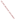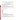# **Consumer Factsheet on: ETHYLENE DIBROMIDE**

#### [List of Contaminants](http://www.epa.gov/safewater/hfacts.html)

 As part of the Drinking Water and Health pages, this fact sheet is part of a larger publication: **National Primary Drinking Water Regulations** 

 States Environmental Protection Agency (EPA). This is a factsheet about a chemical that may be found in some public or private drinking water supplies. It may cause health problems if found in amounts greater than the health standard set by the United

#### **What is EDB and how is it used?**

Ethylene dibromide (EDB) is a colorless, heavy organic liquid with a mildly sweet chloroform-like odor. Ethylene dibromide is mainly used in anti-knock gasoline mixtures, particularly in aviation fuel. Other uses include: as a solvent for resins, gums, and waxes; in waterproofing preparations; in making dyes and drugs; and as a pesticide for grains and fruit.

 The list of trade names given below may help you find out whether you are using this chemical at home or work.

#### **Trade Names and Synonyms:**

 Dowfume W 85 EDB Glycol dibromide Bromofume Aadibroom Iscobrome-D Nefis **Pestmaster** EDB-85 Soilbrom Soilfume Kopfume

# **Why is EDB being Regulated?**

 based solely on possible health risks and exposure, are called Maximum Contaminant Level Goals. In 1974, Congress passed the Safe Drinking Water Act. This law requires EPA to determine safe levels of chemicals in drinking water which do or may cause health problems. These non-enforceable levels,

The MCLG for EDB has been set at zero because EPA believes this level of protection would not cause any of the potential health problems described below.

 Based on this MCLG, EPA has set an enforceable standard called a Maximum Contaminant Level (MCL). MCLs are set as close to the MCLGs as possible, considering the ability of public water systems to detect and remove contaminants using suitable treatment technologies.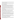contaminant should it occur in drinking water. The MCL has been set at 0.05 parts per billion (ppb) because EPA believes, given present technology and resources, this is the lowest level to which water systems can reasonably be required to remove this

These drinking water standards and the regulations for ensuring these standards are met, are called National Primary Drinking Water Regulations. All public water supplies must abide by these regulations.

#### **What are the Health Effects?**

 Short-term: EPA has found EDB to potentially cause the following health effects when people are and adrenal glands, along with significant reproductive system toxicity, particularly the testes. exposed to it at levels above the MCL for relatively short periods of time: damage to the liver, stomach,

Long-term: EDB has the potential to cause the following effects from a lifetime exposure at levels above the MCL: damage to the respiratory system, nervous system, liver, heart, and kidneys; cancer.

# **How much EDB is produced and released to the environment?**

 EDB is released during the use, storage, and transport of leaded gasoline, as well as during any spills; from its former use as a pesticide; wastewater and emissions from processes and waste waters of the chemical industries that use it.

From 1987 to 1993, according to the Toxics Release Inventory EDB releases to land and water totalled over 3,000 lbs. These releases were primarily from petroleum refineries. The largest of these releases occurred in California and Missouri.

# **What happens to EDB when it is released to the environment?**

 When spilled on land or applied to land during soil fumigation, ethylene dibromide may leach to groundwater. Its persistence can vary greatly from soil to soil, from a few weeks to as much as 19 years.

 EDB released to water will mainly evaporate. It can be degraded by microbes and chemical reaction in some types of groundwater. It does not tend to accumulate in aquatic life.

#### **How will EDB be Detected in and Removed from My Drinking Water?**

 Yhe regulation for EDB became effective in 1992. Between 1993 and 1995, EPA required your water supplier to collect water samples every 3 months for one year and analyze them to find out if EDB is contaminant. present above 0.01 ppb. If it is present above this level, the system must continue to monitor this

If contaminant levels are found to be consistently above the MCL, your water supplier must take steps to reduce the amount of EDB so that it is consistently below that level. The following treatment methods have been approved by EPA for removing EDB: Granular activated charcoal.

# **How will I know if EDB is in my drinking water?**

 If the levels of EDB exceed the MCL, 0.05 ppb, the system must notify the public via newspapers, radio, required to prevent serious risks to public health. TV and other means. Additional actions, such as providing alternative drinking water supplies, may be